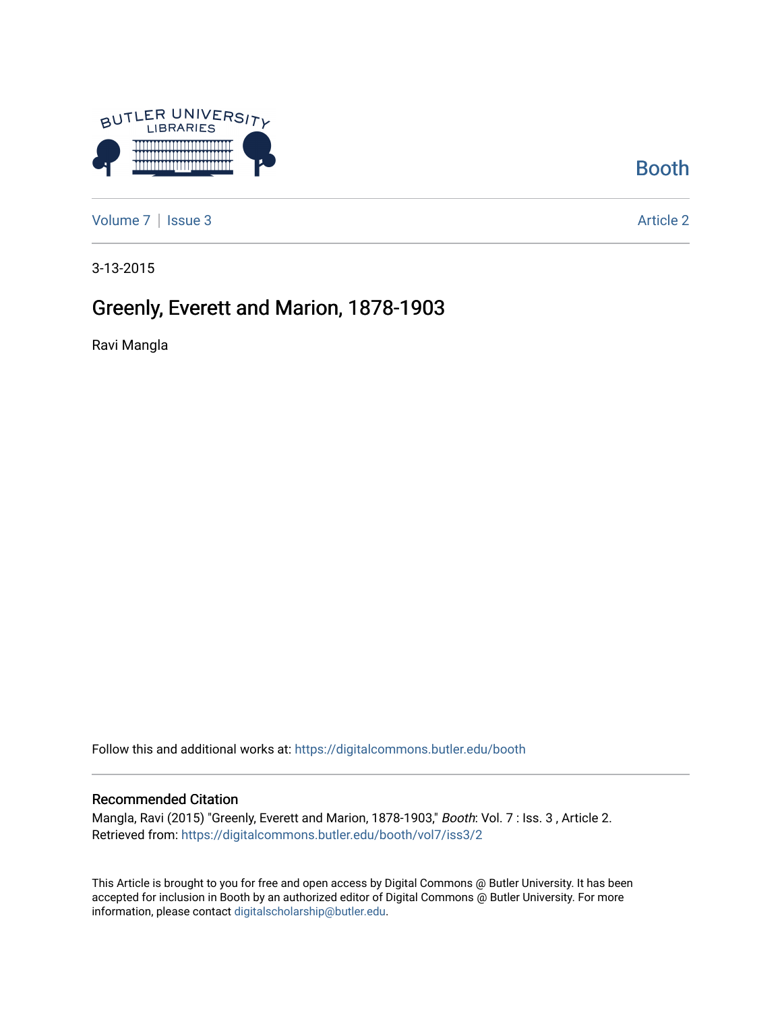

[Booth](https://digitalcommons.butler.edu/booth) 

[Volume 7](https://digitalcommons.butler.edu/booth/vol7) | [Issue 3](https://digitalcommons.butler.edu/booth/vol7/iss3) Article 2

3-13-2015

## Greenly, Everett and Marion, 1878-1903

Ravi Mangla

Follow this and additional works at: [https://digitalcommons.butler.edu/booth](https://digitalcommons.butler.edu/booth?utm_source=digitalcommons.butler.edu%2Fbooth%2Fvol7%2Fiss3%2F2&utm_medium=PDF&utm_campaign=PDFCoverPages) 

#### Recommended Citation

Mangla, Ravi (2015) "Greenly, Everett and Marion, 1878-1903," Booth: Vol. 7 : Iss. 3 , Article 2. Retrieved from: [https://digitalcommons.butler.edu/booth/vol7/iss3/2](https://digitalcommons.butler.edu/booth/vol7/iss3/2?utm_source=digitalcommons.butler.edu%2Fbooth%2Fvol7%2Fiss3%2F2&utm_medium=PDF&utm_campaign=PDFCoverPages) 

This Article is brought to you for free and open access by Digital Commons @ Butler University. It has been accepted for inclusion in Booth by an authorized editor of Digital Commons @ Butler University. For more information, please contact [digitalscholarship@butler.edu](mailto:digitalscholarship@butler.edu).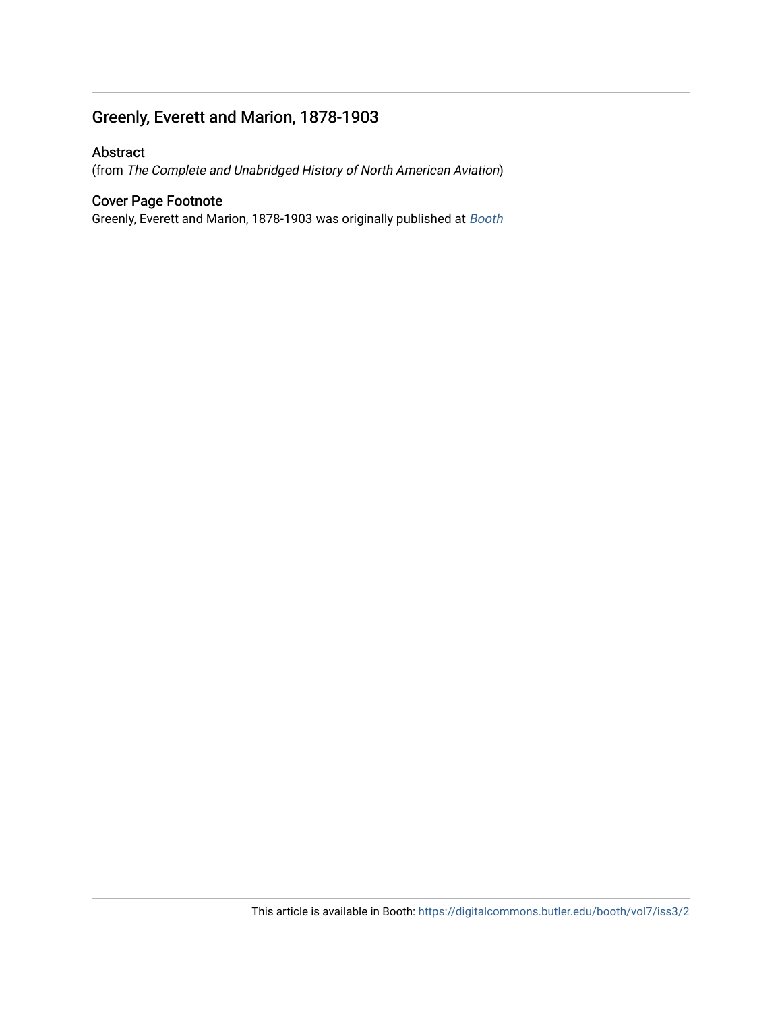### Greenly, Everett and Marion, 1878-1903

#### Abstract

(from The Complete and Unabridged History of North American Aviation)

#### Cover Page Footnote

Greenly, Everett and Marion, 1878-1903 was originally published at [Booth](http://booth.butler.edu/)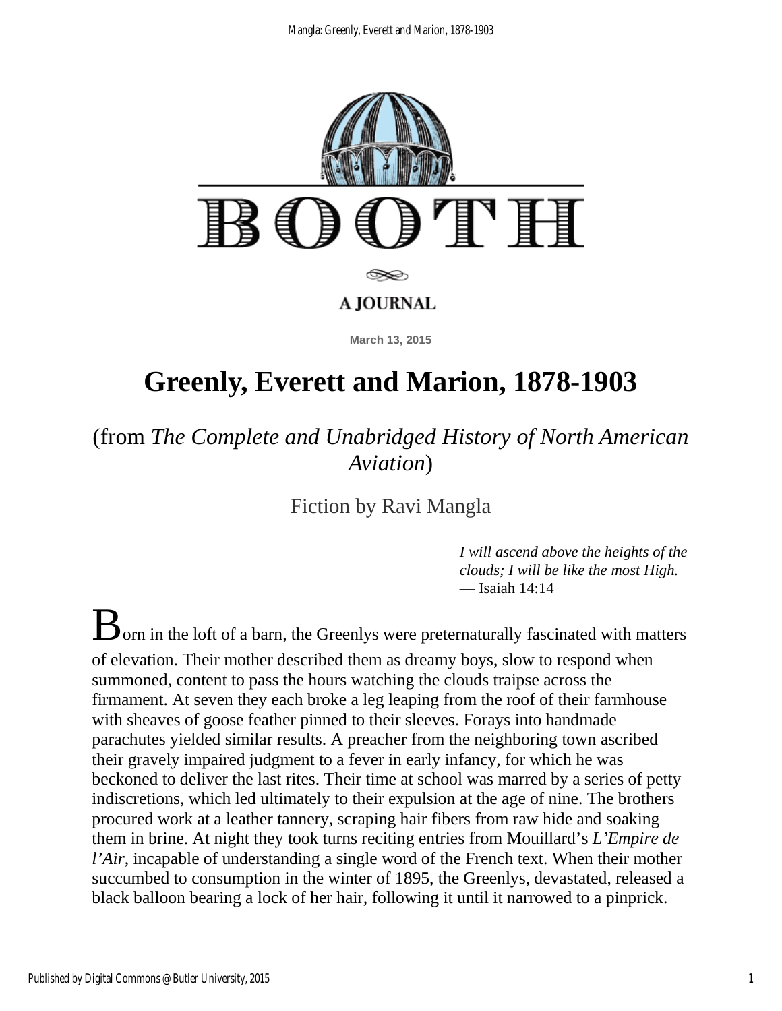

# **Greenly, Everett and Marion, 1878-1903**

(from *The Complete and Unabridged History of North American Aviation*)

Fiction by Ravi Mangla

*I will ascend above the heights of the clouds; I will be like the most High.* — Isaiah 14:14

 $\mathbf B$  orn in the loft of a barn, the Greenlys were preternaturally fascinated with matters of elevation. Their mother described them as dreamy boys, slow to respond when summoned, content to pass the hours watching the clouds traipse across the firmament. At seven they each broke a leg leaping from the roof of their farmhouse with sheaves of goose feather pinned to their sleeves. Forays into handmade parachutes yielded similar results. A preacher from the neighboring town ascribed their gravely impaired judgment to a fever in early infancy, for which he was beckoned to deliver the last rites. Their time at school was marred by a series of petty indiscretions, which led ultimately to their expulsion at the age of nine. The brothers procured work at a leather tannery, scraping hair fibers from raw hide and soaking them in brine. At night they took turns reciting entries from Mouillard's *L'Empire de l'Air*, incapable of understanding a single word of the French text. When their mother succumbed to consumption in the winter of 1895, the Greenlys, devastated, released a black balloon bearing a lock of her hair, following it until it narrowed to a pinprick.